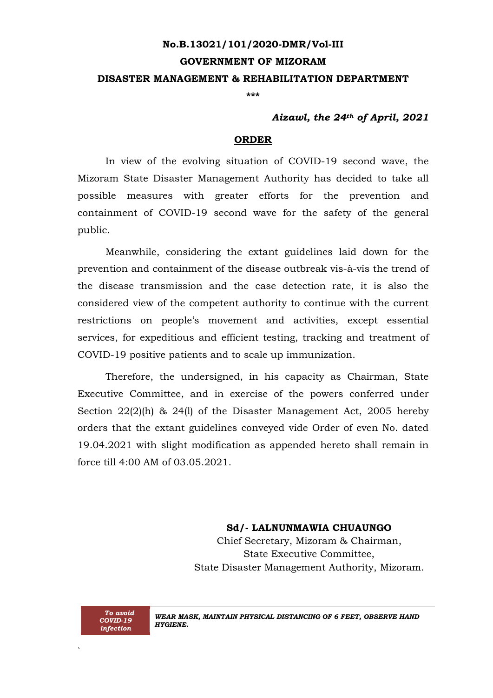# **No.B.13021/101/2020-DMR/Vol-III GOVERNMENT OF MIZORAM DISASTER MANAGEMENT & REHABILITATION DEPARTMENT**

**\*\*\***

### *Aizawl, the 24th of April, 2021*

#### **ORDER**

In view of the evolving situation of COVID-19 second wave, the Mizoram State Disaster Management Authority has decided to take all possible measures with greater efforts for the prevention and containment of COVID-19 second wave for the safety of the general public.

Meanwhile, considering the extant guidelines laid down for the prevention and containment of the disease outbreak vis-à-vis the trend of the disease transmission and the case detection rate, it is also the considered view of the competent authority to continue with the current restrictions on people's movement and activities, except essential services, for expeditious and efficient testing, tracking and treatment of COVID-19 positive patients and to scale up immunization.

Therefore, the undersigned, in his capacity as Chairman, State Executive Committee, and in exercise of the powers conferred under Section 22(2)(h) & 24(l) of the Disaster Management Act, 2005 hereby orders that the extant guidelines conveyed vide Order of even No. dated 19.04.2021 with slight modification as appended hereto shall remain in force till 4:00 AM of 03.05.2021.

#### **Sd/- LALNUNMAWIA CHUAUNGO**

Chief Secretary, Mizoram & Chairman, State Executive Committee, State Disaster Management Authority, Mizoram.



`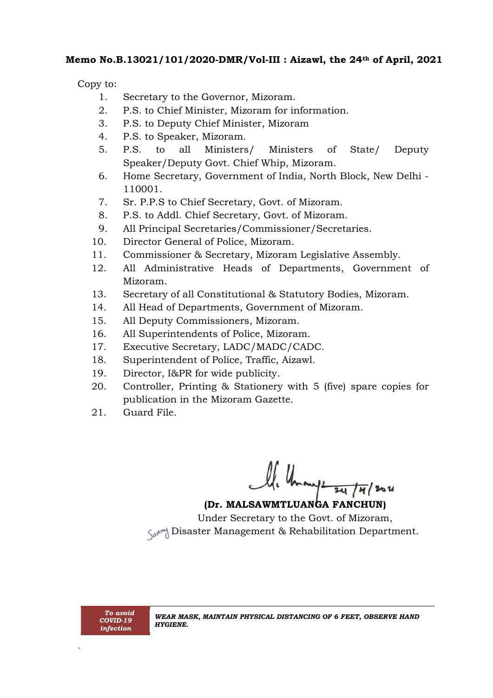### **Memo No.B.13021/101/2020-DMR/Vol-III : Aizawl, the 24th of April, 2021**

Copy to:

- 1. Secretary to the Governor, Mizoram.
- 2. P.S. to Chief Minister, Mizoram for information.
- 3. P.S. to Deputy Chief Minister, Mizoram
- 4. P.S. to Speaker, Mizoram.
- 5. P.S. to all Ministers/ Ministers of State/ Deputy Speaker/Deputy Govt. Chief Whip, Mizoram.
- 6. Home Secretary, Government of India, North Block, New Delhi 110001.
- 7. Sr. P.P.S to Chief Secretary, Govt. of Mizoram.
- 8. P.S. to Addl. Chief Secretary, Govt. of Mizoram.
- 9. All Principal Secretaries/Commissioner/Secretaries.
- 10. Director General of Police, Mizoram.
- 11. Commissioner & Secretary, Mizoram Legislative Assembly.
- 12. All Administrative Heads of Departments, Government of Mizoram.
- 13. Secretary of all Constitutional & Statutory Bodies, Mizoram.
- 14. All Head of Departments, Government of Mizoram.
- 15. All Deputy Commissioners, Mizoram.
- 16. All Superintendents of Police, Mizoram.
- 17. Executive Secretary, LADC/MADC/CADC.
- 18. Superintendent of Police, Traffic, Aizawl.
- 19. Director, I&PR for wide publicity.
- 20. Controller, Printing & Stationery with 5 (five) spare copies for publication in the Mizoram Gazette.
- 21. Guard File.

Ule Une angle 24/4/2021

Under Secretary to the Govt. of Mizoram,  $\zeta_{ab}$ <sup> $\phi$ </sup> Disaster Management & Rehabilitation Department.

`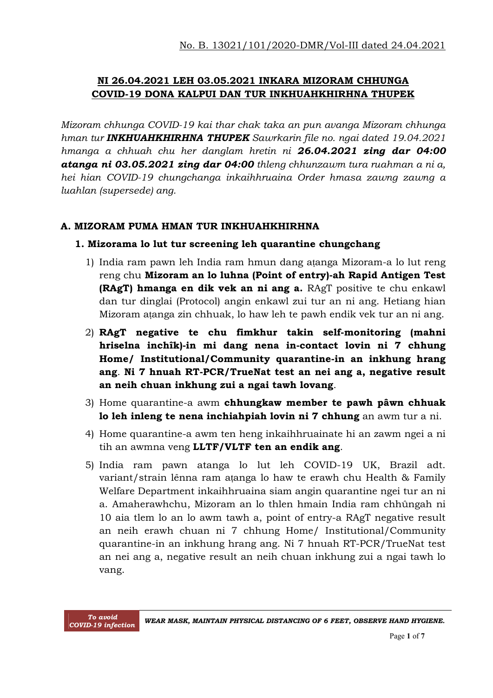### **NI 26.04.2021 LEH 03.05.2021 INKARA MIZORAM CHHUNGA COVID-19 DONA KALPUI DAN TUR INKHUAHKHIRHNA THUPEK**

*Mizoram chhunga COVID-19 kai thar chak taka an pun avanga Mizoram chhunga hman tur INKHUAHKHIRHNA THUPEK Sawrkarin file no. ngai dated 19.04.2021 hmanga a chhuah chu her danglam hretin ni 26.04.2021 zing dar 04:00 atanga ni 03.05.2021 zing dar 04:00 thleng chhunzawm tura ruahman a ni a, hei hian COVID-19 chungchanga inkaihhruaina Order hmasa zawng zawng a luahlan (supersede) ang.*

### **A. MIZORAM PUMA HMAN TUR INKHUAHKHIRHNA**

#### **1. Mizorama lo lut tur screening leh quarantine chungchang**

- 1) India ram pawn leh India ram hmun dang aṭanga Mizoram-a lo lut reng reng chu **Mizoram an lo luhna (Point of entry)-ah Rapid Antigen Test (RAgT) hmanga en dik vek an ni ang a.** RAgT positive te chu enkawl dan tur dinglai (Protocol) angin enkawl zui tur an ni ang. Hetiang hian Mizoram aṭanga zin chhuak, lo haw leh te pawh endik vek tur an ni ang.
- 2) **RAgT negative te chu fimkhur takin self-monitoring (mahni hriselna inchîk)-in mi dang nena in-contact lovin ni 7 chhung Home/ Institutional/Community quarantine-in an inkhung hrang ang**. **Ni 7 hnuah RT-PCR/TrueNat test an nei ang a, negative result an neih chuan inkhung zui a ngai tawh lovang**.
- 3) Home quarantine-a awm **chhungkaw member te pawh pâwn chhuak lo leh inleng te nena inchiahpiah lovin ni 7 chhung** an awm tur a ni.
- 4) Home quarantine-a awm ten heng inkaihhruainate hi an zawm ngei a ni tih an awmna veng **LLTF/VLTF ten an endik ang**.
- 5) India ram pawn atanga lo lut leh COVID-19 UK, Brazil adt. variant/strain lênna ram aṭanga lo haw te erawh chu Health & Family Welfare Department inkaihhruaina siam angin quarantine ngei tur an ni a. Amaherawhchu, Mizoram an lo thlen hmain India ram chhûngah ni 10 aia tlem lo an lo awm tawh a, point of entry-a RAgT negative result an neih erawh chuan ni 7 chhung Home/ Institutional/Community quarantine-in an inkhung hrang ang. Ni 7 hnuah RT-PCR/TrueNat test an nei ang a, negative result an neih chuan inkhung zui a ngai tawh lo vang.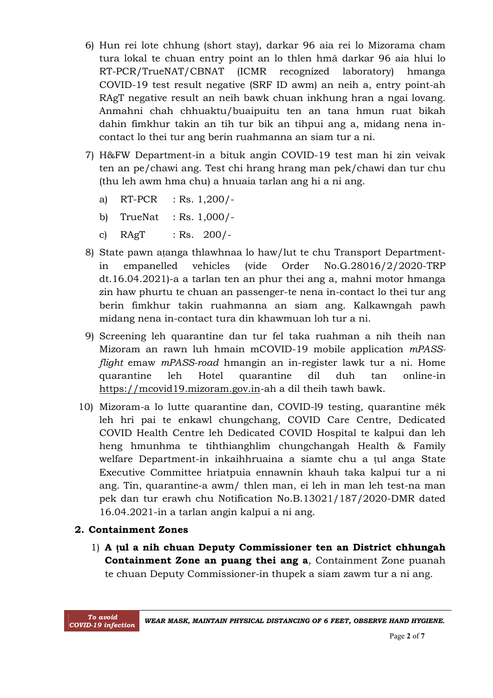- 6) Hun rei lote chhung (short stay), darkar 96 aia rei lo Mizorama cham tura lokal te chuan entry point an lo thlen hmâ darkar 96 aia hlui lo RT-PCR/TrueNAT/CBNAT (ICMR recognized laboratory) hmanga COVID-19 test result negative (SRF ID awm) an neih a, entry point-ah RAgT negative result an neih bawk chuan inkhung hran a ngai lovang. Anmahni chah chhuaktu/buaipuitu ten an tana hmun ruat bikah dahin fimkhur takin an tih tur bik an tihpui ang a, midang nena incontact lo thei tur ang berin ruahmanna an siam tur a ni.
- 7) H&FW Department-in a bituk angin COVID-19 test man hi zin veivak ten an pe/chawi ang. Test chi hrang hrang man pek/chawi dan tur chu (thu leh awm hma chu) a hnuaia tarlan ang hi a ni ang.
	- a) RT-PCR : Rs. 1,200/-
	- b) TrueNat : Rs. 1,000/-
	- c)  $RAgT$  : Rs. 200/-
- 8) State pawn aṭanga thlawhnaa lo haw/lut te chu Transport Departmentin empanelled vehicles (vide Order No.G.28016/2/2020-TRP dt.16.04.2021)-a a tarlan ten an phur thei ang a, mahni motor hmanga zin haw phurtu te chuan an passenger-te nena in-contact lo thei tur ang berin fimkhur takin ruahmanna an siam ang. Kalkawngah pawh midang nena in-contact tura din khawmuan loh tur a ni.
- 9) Screening leh quarantine dan tur fel taka ruahman a nih theih nan Mizoram an rawn luh hmain mCOVID-19 mobile application *mPASSflight* emaw *mPASS-road* hmangin an in-register lawk tur a ni. Home quarantine leh Hotel quarantine dil duh tan online-in https://mcovid19.mizoram.gov.in-ah a dil theih tawh bawk.
- 10) Mizoram-a lo lutte quarantine dan, COVID-l9 testing, quarantine mêk leh hri pai te enkawl chungchang, COVID Care Centre, Dedicated COVID Health Centre leh Dedicated COVID Hospital te kalpui dan leh heng hmunhma te tihthianghlim chungchangah Health & Family welfare Department-in inkaihhruaina a siamte chu a ṭul anga State Executive Committee hriatpuia ennawnin khauh taka kalpui tur a ni ang. Tin, quarantine-a awm/ thlen man, ei leh in man leh test-na man pek dan tur erawh chu Notification No.B.13021/187/2020-DMR dated 16.04.2021-in a tarlan angin kalpui a ni ang.

#### **2. Containment Zones**

1) **A ṭul a nih chuan Deputy Commissioner ten an District chhungah Containment Zone an puang thei ang a**, Containment Zone puanah te chuan Deputy Commissioner-in thupek a siam zawm tur a ni ang.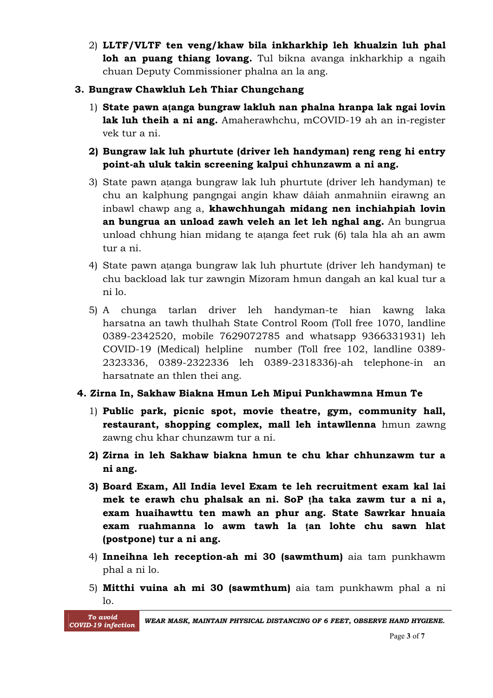2) **LLTF/VLTF ten veng/khaw bila inkharkhip leh khualzin luh phal loh an puang thiang lovang.** Tul bikna avanga inkharkhip a ngaih chuan Deputy Commissioner phalna an la ang.

### **3. Bungraw Chawkluh Leh Thiar Chungchang**

- 1) **State pawn aṭanga bungraw lakluh nan phalna hranpa lak ngai lovin lak luh theih a ni ang.** Amaherawhchu, mCOVID-19 ah an in-register vek tur a ni.
- **2) Bungraw lak luh phurtute (driver leh handyman) reng reng hi entry point-ah uluk takin screening kalpui chhunzawm a ni ang.**
- 3) State pawn aṭanga bungraw lak luh phurtute (driver leh handyman) te chu an kalphung pangngai angin khaw dâiah anmahniin eirawng an inbawl chawp ang a, **khawchhungah midang nen inchiahpiah lovin an bungrua an unload zawh veleh an let leh nghal ang.** An bungrua unload chhung hian midang te aṭanga feet ruk (6) tala hla ah an awm tur a ni.
- 4) State pawn aṭanga bungraw lak luh phurtute (driver leh handyman) te chu backload lak tur zawngin Mizoram hmun dangah an kal kual tur a ni lo.
- 5) A chunga tarlan driver leh handyman-te hian kawng laka harsatna an tawh thulhah State Control Room (Toll free 1070, landline 0389-2342520, mobile 7629072785 and whatsapp 9366331931) leh COVID-19 (Medical) helpline number (Toll free 102, landline 0389- 2323336, 0389-2322336 leh 0389-2318336)-ah telephone-in an harsatnate an thlen thei ang.

### **4. Zirna In, Sakhaw Biakna Hmun Leh Mipui Punkhawmna Hmun Te**

- 1) **Public park, picnic spot, movie theatre, gym, community hall, restaurant, shopping complex, mall leh intawllenna** hmun zawng zawng chu khar chunzawm tur a ni.
- **2) Zirna in leh Sakhaw biakna hmun te chu khar chhunzawm tur a ni ang.**
- **3) Board Exam, All India level Exam te leh recruitment exam kal lai mek te erawh chu phalsak an ni. SoP ṭha taka zawm tur a ni a, exam huaihawttu ten mawh an phur ang. State Sawrkar hnuaia exam ruahmanna lo awm tawh la ṭan lohte chu sawn hlat (postpone) tur a ni ang.**
- 4) **Inneihna leh reception-ah mi 30 (sawmthum)** aia tam punkhawm phal a ni lo.
- 5) **Mitthi vuina ah mi 30 (sawmthum)** aia tam punkhawm phal a ni lo.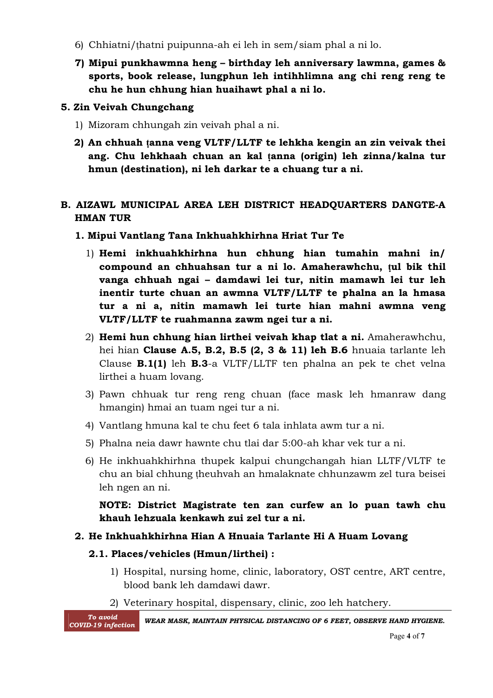- 6) Chhiatni/ṭhatni puipunna-ah ei leh in sem/siam phal a ni lo.
- **7) Mipui punkhawmna heng – birthday leh anniversary lawmna, games & sports, book release, lungphun leh intihhlimna ang chi reng reng te chu he hun chhung hian huaihawt phal a ni lo.**

### **5. Zin Veivah Chungchang**

- 1) Mizoram chhungah zin veivah phal a ni.
- **2) An chhuah ṭanna veng VLTF/LLTF te lehkha kengin an zin veivak thei ang. Chu lehkhaah chuan an kal ṭanna (origin) leh zinna/kalna tur hmun (destination), ni leh darkar te a chuang tur a ni.**

### **B. AIZAWL MUNICIPAL AREA LEH DISTRICT HEADQUARTERS DANGTE-A HMAN TUR**

- **1. Mipui Vantlang Tana Inkhuahkhirhna Hriat Tur Te**
	- 1) **Hemi inkhuahkhirhna hun chhung hian tumahin mahni in/ compound an chhuahsan tur a ni lo. Amaherawhchu, ṭul bik thil vanga chhuah ngai – damdawi lei tur, nitin mamawh lei tur leh inentir turte chuan an awmna VLTF/LLTF te phalna an la hmasa tur a ni a, nitin mamawh lei turte hian mahni awmna veng VLTF/LLTF te ruahmanna zawm ngei tur a ni.**
	- 2) **Hemi hun chhung hian lirthei veivah khap tlat a ni.** Amaherawhchu, hei hian **Clause A.5, B.2, B.5 (2, 3 & 11) leh B.6** hnuaia tarlante leh Clause **B.1(1)** leh **B.3**-a VLTF/LLTF ten phalna an pek te chet velna lirthei a huam lovang.
	- 3) Pawn chhuak tur reng reng chuan (face mask leh hmanraw dang hmangin) hmai an tuam ngei tur a ni.
	- 4) Vantlang hmuna kal te chu feet 6 tala inhlata awm tur a ni.
	- 5) Phalna neia dawr hawnte chu tlai dar 5:00-ah khar vek tur a ni.
	- 6) He inkhuahkhirhna thupek kalpui chungchangah hian LLTF/VLTF te chu an bial chhung ṭheuhvah an hmalaknate chhunzawm zel tura beisei leh ngen an ni.

**NOTE: District Magistrate ten zan curfew an lo puan tawh chu khauh lehzuala kenkawh zui zel tur a ni.**

# **2. He Inkhuahkhirhna Hian A Hnuaia Tarlante Hi A Huam Lovang**

# **2.1. Places/vehicles (Hmun/lirthei) :**

- 1) Hospital, nursing home, clinic, laboratory, OST centre, ART centre, blood bank leh damdawi dawr.
- 2) Veterinary hospital, dispensary, clinic, zoo leh hatchery.

 *To avoid*

*COVID-19 infection WEAR MASK, MAINTAIN PHYSICAL DISTANCING OF <sup>6</sup> FEET, OBSERVE HAND HYGIENE.*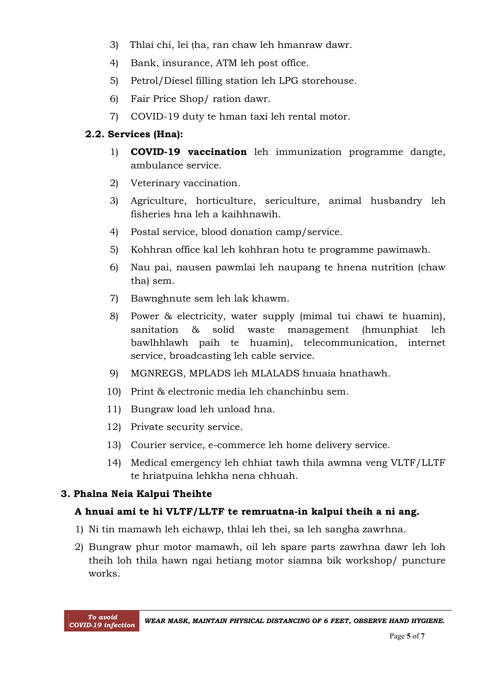- 3) Thlai chi, lei tha, ran chaw leh hmanraw dawr.
- 4) Bank, insurance, ATM leh post office.
- 5) Petrol/Diesel filling station leh LPG storehouse.
- 6) Fair Price Shop/ ration dawr.
- 7) COVID-19 duty te hman taxi leh rental motor.

#### **2.2. Services (Hna):**

- 1) **COVID-19 vaccination** leh immunization programme dangte, ambulance service.
- 2) Veterinary vaccination.
- 3) Agriculture, horticulture, sericulture, animal husbandry leh fisheries hna leh a kaihhnawih.
- 4) Postal service, blood donation camp/service.
- 5) Kohhran office kal leh kohhran hotu te programme pawimawh.
- 6) Nau pai, nausen pawmlai leh naupang te hnena nutrition (chaw tha) sem.
- 7) Bawnghnute sem leh lak khawm.
- 8) Power & electricity, water supply (mimal tui chawi te huamin), sanitation & solid waste management (hmunphiat leh bawlhhlawh paih te huamin), telecommunication, internet service, broadcasting leh cable service.
- 9) MGNREGS, MPLADS leh MLALADS hnuaia hnathawh.
- 10) Print & electronic media leh chanchinbu sem.
- 11) Bungraw load leh unload hna.
- 12) Private security service.
- 13) Courier service, e-commerce leh home delivery service.
- 14) Medical emergency leh chhiat tawh thila awmna veng VLTF/LLTF te hriatpuina lehkha nena chhuah.

### **3. Phalna Neia Kalpui Theihte**

#### **A hnuai ami te hi VLTF/LLTF te remruatna-in kalpui theih a ni ang.**

- 1) Ni tin mamawh leh eichawp, thlai leh thei, sa leh sangha zawrhna.
- 2) Bungraw phur motor mamawh, oil leh spare parts zawrhna dawr leh loh theih loh thila hawn ngai hetiang motor siamna bik workshop/ puncture works.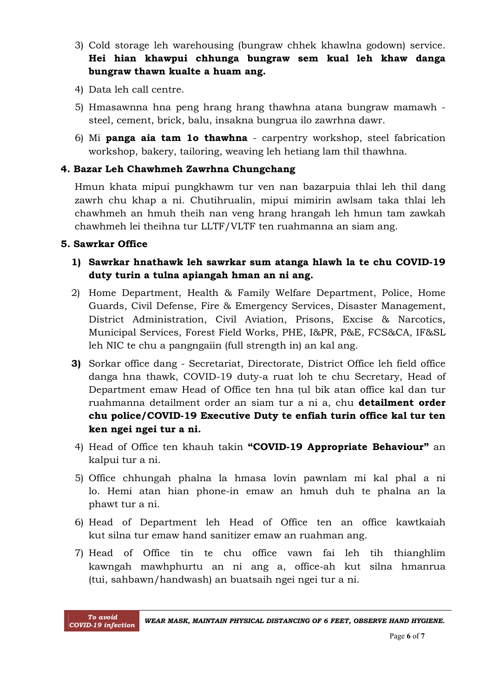- 3) Cold storage leh warehousing (bungraw chhek khawlna godown) service. **Hei hian khawpui chhunga bungraw sem kual leh khaw danga bungraw thawn kualte a huam ang.**
- 4) Data leh call centre.
- 5) Hmasawnna hna peng hrang hrang thawhna atana bungraw mamawh steel, cement, brick, balu, insakna bungrua ilo zawrhna dawr.
- 6) Mi **panga aia tam 1o thawhna** carpentry workshop, steel fabrication workshop, bakery, tailoring, weaving leh hetiang lam thil thawhna.

### **4. Bazar Leh Chawhmeh Zawrhna Chungchang**

Hmun khata mipui pungkhawm tur ven nan bazarpuia thlai leh thil dang zawrh chu khap a ni. Chutihrualin, mipui mimirin awlsam taka thlai leh chawhmeh an hmuh theih nan veng hrang hrangah leh hmun tam zawkah chawhmeh lei theihna tur LLTF/VLTF ten ruahmanna an siam ang.

#### **5. Sawrkar Office**

- **1) Sawrkar hnathawk leh sawrkar sum atanga hlawh la te chu COVID-19 duty turin a tulna apiangah hman an ni ang.**
- 2) Home Department, Health & Family Welfare Department, Police, Home Guards, Civil Defense, Fire & Emergency Services, Disaster Management, District Administration, Civil Aviation, Prisons, Excise & Narcotics, Municipal Services, Forest Field Works, PHE, I&PR, P&E, FCS&CA, IF&SL leh NIC te chu a pangngaiin (full strength in) an kal ang.
- **3)** Sorkar office dang Secretariat, Directorate, District Office leh field office danga hna thawk, COVID-19 duty-a ruat loh te chu Secretary, Head of Department emaw Head of Office ten hna ṭul bik atan office kal dan tur ruahmanna detailment order an siam tur a ni a, chu **detailment order chu police/COVID-19 Executive Duty te enfiah turin office kal tur ten ken ngei ngei tur a ni.**
- 4) Head of Office ten khauh takin **"COVID-19 Appropriate Behaviour"** an kalpui tur a ni.
- 5) Office chhungah phalna la hmasa lovin pawnlam mi kal phal a ni lo. Hemi atan hian phone-in emaw an hmuh duh te phalna an la phawt tur a ni.
- 6) Head of Department leh Head of Office ten an office kawtkaiah kut silna tur emaw hand sanitizer emaw an ruahman ang.
- 7) Head of Office tin te chu office vawn fai leh tih thianghlim kawngah mawhphurtu an ni ang a, office-ah kut silna hmanrua (tui, sahbawn/handwash) an buatsaih ngei ngei tur a ni.